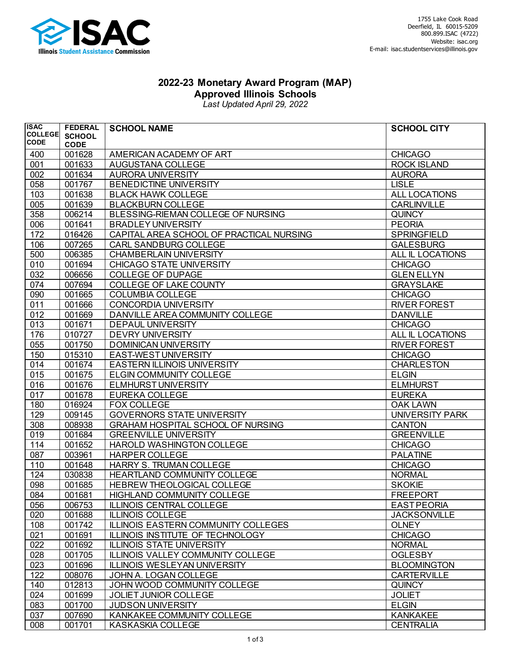

## **2022-23 Monetary Award Program (MAP) Approved Illinois Schools**

*Last Updated April 29, 2022*

| <b>ISAC</b>                   | <b>FEDERAL</b> | <b>SCHOOL NAME</b>                         | <b>SCHOOL CITY</b>  |
|-------------------------------|----------------|--------------------------------------------|---------------------|
| <b>COLLEGE</b><br><b>CODE</b> | <b>SCHOOL</b>  |                                            |                     |
|                               | <b>CODE</b>    |                                            |                     |
| 400                           | 001628         | AMERICAN ACADEMY OF ART                    | <b>CHICAGO</b>      |
| 001                           | 001633         | AUGUSTANA COLLEGE                          | <b>ROCK ISLAND</b>  |
| 002                           | 001634         | <b>AURORA UNIVERSITY</b>                   | <b>AURORA</b>       |
| 058                           | 001767         | <b>BENEDICTINE UNIVERSITY</b>              | <b>LISLE</b>        |
| 103                           | 001638         | <b>BLACK HAWK COLLEGE</b>                  | ALL LOCATIONS       |
| 005                           | 001639         | <b>BLACKBURN COLLEGE</b>                   | <b>CARLINVILLE</b>  |
| 358                           | 006214         | BLESSING-RIEMAN COLLEGE OF NURSING         | <b>QUINCY</b>       |
| 006                           | 001641         | <b>BRADLEY UNIVERSITY</b>                  | <b>PEORIA</b>       |
| 172                           | 016426         | CAPITAL AREA SCHOOL OF PRACTICAL NURSING   | <b>SPRINGFIELD</b>  |
| 106                           | 007265         | CARL SANDBURG COLLEGE                      | <b>GALESBURG</b>    |
| 500                           | 006385         | <b>CHAMBERLAIN UNIVERSITY</b>              | ALL IL LOCATIONS    |
| 010                           | 001694         | <b>CHICAGO STATE UNIVERSITY</b>            | <b>CHICAGO</b>      |
| 032                           | 006656         | <b>COLLEGE OF DUPAGE</b>                   | <b>GLEN ELLYN</b>   |
| 074                           | 007694         | COLLEGE OF LAKE COUNTY                     | <b>GRAYSLAKE</b>    |
| 090                           | 001665         | <b>COLUMBIA COLLEGE</b>                    | <b>CHICAGO</b>      |
| 011                           | 001666         | <b>CONCORDIA UNIVERSITY</b>                | <b>RIVER FOREST</b> |
| 012                           | 001669         | DANVILLE AREA COMMUNITY COLLEGE            | <b>DANVILLE</b>     |
| 013                           | 001671         | <b>DEPAUL UNIVERSITY</b>                   | <b>CHICAGO</b>      |
| 176                           | 010727         | <b>DEVRY UNIVERSITY</b>                    | ALL IL LOCATIONS    |
| 055                           | 001750         | <b>DOMINICAN UNIVERSITY</b>                | <b>RIVER FOREST</b> |
| 150                           | 015310         | EAST-WEST UNIVERSITY                       | <b>CHICAGO</b>      |
| 014                           | 001674         | <b>EASTERN ILLINOIS UNIVERSITY</b>         | <b>CHARLESTON</b>   |
| 015                           | 001675         | <b>ELGIN COMMUNITY COLLEGE</b>             | <b>ELGIN</b>        |
| 016                           | 001676         | <b>ELMHURST UNIVERSITY</b>                 | <b>ELMHURST</b>     |
| 017                           | 001678         | <b>EUREKA COLLEGE</b>                      | <b>EUREKA</b>       |
| 180                           | 016924         | <b>FOX COLLEGE</b>                         | <b>OAK LAWN</b>     |
| 129                           | 009145         | <b>GOVERNORS STATE UNIVERSITY</b>          | UNIVERSITY PARK     |
| 308                           | 008938         | <b>GRAHAM HOSPITAL SCHOOL OF NURSING</b>   | <b>CANTON</b>       |
| 019                           | 001684         | <b>GREENVILLE UNIVERSITY</b>               | <b>GREENVILLE</b>   |
| 114                           | 001652         | HAROLD WASHINGTON COLLEGE                  | <b>CHICAGO</b>      |
| 087                           | 003961         | <b>HARPER COLLEGE</b>                      | <b>PALATINE</b>     |
| 110                           | 001648         | HARRY S. TRUMAN COLLEGE                    | <b>CHICAGO</b>      |
| 124                           | 030838         | HEARTLAND COMMUNITY COLLEGE                | <b>NORMAL</b>       |
| 098                           | 001685         | HEBREW THEOLOGICAL COLLEGE                 | <b>SKOKIE</b>       |
| 084                           | 001681         | HIGHLAND COMMUNITY COLLEGE                 | <b>FREEPORT</b>     |
| 056                           | 006753         | <b>ILLINOIS CENTRAL COLLEGE</b>            | <b>EAST PEORIA</b>  |
| 020                           | 001688         | <b>ILLINOIS COLLEGE</b>                    | <b>JACKSONVILLE</b> |
| 108                           | 001742         | <b>ILLINOIS EASTERN COMMUNITY COLLEGES</b> | <b>OLNEY</b>        |
| 021                           | 001691         | ILLINOIS INSTITUTE OF TECHNOLOGY           | <b>CHICAGO</b>      |
| 022                           | 001692         | <b>ILLINOIS STATE UNIVERSITY</b>           | <b>NORMAL</b>       |
| 028                           | 001705         | <b>ILLINOIS VALLEY COMMUNITY COLLEGE</b>   | <b>OGLESBY</b>      |
| 023                           | 001696         | <b>ILLINOIS WESLEYAN UNIVERSITY</b>        | <b>BLOOMINGTON</b>  |
| 122                           | 008076         | JOHN A. LOGAN COLLEGE                      | <b>CARTERVILLE</b>  |
| 140                           | 012813         | JOHN WOOD COMMUNITY COLLEGE                | <b>QUINCY</b>       |
| 024                           | 001699         | JOLIET JUNIOR COLLEGE                      | <b>JOLIET</b>       |
| 083                           | 001700         | <b>JUDSON UNIVERSITY</b>                   | <b>ELGIN</b>        |
| 037                           | 007690         | KANKAKEE COMMUNITY COLLEGE                 | <b>KANKAKEE</b>     |
| 008                           | 001701         | <b>KASKASKIA COLLEGE</b>                   | <b>CENTRALIA</b>    |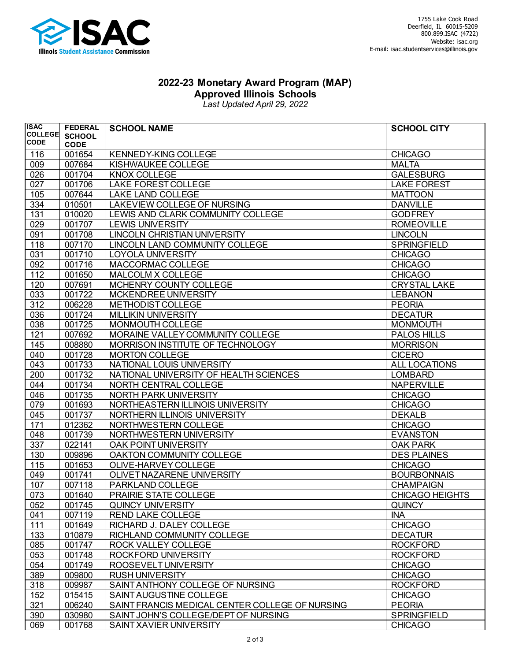

## **2022-23 Monetary Award Program (MAP) Approved Illinois Schools**

*Last Updated April 29, 2022*

| <b>ISAC</b>                   | <b>FEDERAL</b> | <b>SCHOOL NAME</b>                              | <b>SCHOOL CITY</b>     |
|-------------------------------|----------------|-------------------------------------------------|------------------------|
| <b>COLLEGE</b><br><b>CODE</b> | <b>SCHOOL</b>  |                                                 |                        |
|                               | <b>CODE</b>    |                                                 |                        |
| 116                           | 001654         | <b>KENNEDY-KING COLLEGE</b>                     | <b>CHICAGO</b>         |
| 009                           | 007684         | KISHWAUKEE COLLEGE                              | <b>MALTA</b>           |
| 026                           | 001704         | <b>KNOX COLLEGE</b>                             | <b>GALESBURG</b>       |
| 027                           | 001706         | LAKE FOREST COLLEGE                             | <b>LAKE FOREST</b>     |
| 105                           | 007644         | LAKE LAND COLLEGE                               | <b>MATTOON</b>         |
| 334                           | 010501         | LAKEVIEW COLLEGE OF NURSING                     | <b>DANVILLE</b>        |
| 131                           | 010020         | LEWIS AND CLARK COMMUNITY COLLEGE               | <b>GODFREY</b>         |
| 029                           | 001707         | <b>LEWIS UNIVERSITY</b>                         | <b>ROMEOVILLE</b>      |
| 091                           | 001708         | <b>LINCOLN CHRISTIAN UNIVERSITY</b>             | <b>LINCOLN</b>         |
| 118                           | 007170         | LINCOLN LAND COMMUNITY COLLEGE                  | <b>SPRINGFIELD</b>     |
| 031                           | 001710         | <b>LOYOLA UNIVERSITY</b>                        | <b>CHICAGO</b>         |
| 092                           | 001716         | MACCORMAC COLLEGE                               | <b>CHICAGO</b>         |
| 112                           | 001650         | <b>MALCOLM X COLLEGE</b>                        | <b>CHICAGO</b>         |
| 120                           | 007691         | MCHENRY COUNTY COLLEGE                          | <b>CRYSTAL LAKE</b>    |
| 033                           | 001722         | <b>MCKENDREE UNIVERSITY</b>                     | <b>LEBANON</b>         |
| 312                           | 006228         | <b>METHODIST COLLEGE</b>                        | <b>PEORIA</b>          |
| 036                           | 001724         | <b>MILLIKIN UNIVERSITY</b>                      | <b>DECATUR</b>         |
| 038                           | 001725         | MONMOUTH COLLEGE                                | <b>MONMOUTH</b>        |
| 121                           | 007692         | MORAINE VALLEY COMMUNITY COLLEGE                | PALOS HILLS            |
| 145                           | 008880         | MORRISON INSTITUTE OF TECHNOLOGY                | <b>MORRISON</b>        |
| 040                           | 001728         | <b>MORTON COLLEGE</b>                           | <b>CICERO</b>          |
| 043                           | 001733         | NATIONAL LOUIS UNIVERSITY                       | <b>ALL LOCATIONS</b>   |
| 200                           | 001732         | NATIONAL UNIVERSITY OF HEALTH SCIENCES          | <b>LOMBARD</b>         |
| 044                           | 001734         | NORTH CENTRAL COLLEGE                           | <b>NAPERVILLE</b>      |
| 046                           | 001735         | NORTH PARK UNIVERSITY                           | <b>CHICAGO</b>         |
| 079                           | 001693         | NORTHEASTERN ILLINOIS UNIVERSITY                | <b>CHICAGO</b>         |
| 045                           | 001737         | NORTHERN ILLINOIS UNIVERSITY                    | <b>DEKALB</b>          |
| 171                           | 012362         | NORTHWESTERN COLLEGE                            | <b>CHICAGO</b>         |
| 048                           | 001739         | NORTHWESTERN UNIVERSITY                         | <b>EVANSTON</b>        |
| 337                           | 022141         | OAK POINT UNIVERSITY                            | <b>OAK PARK</b>        |
| 130                           | 009896         | OAKTON COMMUNITY COLLEGE                        | <b>DES PLAINES</b>     |
| 115                           | 001653         | OLIVE-HARVEY COLLEGE                            | <b>CHICAGO</b>         |
| 049                           | 001741         | OLIVET NAZARENE UNIVERSITY                      | <b>BOURBONNAIS</b>     |
| 107                           | 007118         | PARKLAND COLLEGE                                | <b>CHAMPAIGN</b>       |
| 073                           | 001640         | PRAIRIE STATE COLLEGE                           | <b>CHICAGO HEIGHTS</b> |
| 052                           | 001745         | <b>QUINCY UNIVERSITY</b>                        | <b>QUINCY</b>          |
| 041                           | 007119         | <b>REND LAKE COLLEGE</b>                        | <b>INA</b>             |
| 111                           | 001649         | RICHARD J. DALEY COLLEGE                        | <b>CHICAGO</b>         |
|                               |                |                                                 |                        |
| 133                           | 010879         | RICHLAND COMMUNITY COLLEGE                      | <b>DECATUR</b>         |
| 085                           | 001747         | ROCK VALLEY COLLEGE                             | <b>ROCKFORD</b>        |
| 053                           | 001748         | ROCKFORD UNIVERSITY                             | <b>ROCKFORD</b>        |
| 054                           | 001749         | ROOSEVELT UNIVERSITY                            | <b>CHICAGO</b>         |
| 389                           | 009800         | <b>RUSH UNIVERSITY</b>                          | <b>CHICAGO</b>         |
| 318                           | 009987         | SAINT ANTHONY COLLEGE OF NURSING                | <b>ROCKFORD</b>        |
| 152                           | 015415         | SAINT AUGUSTINE COLLEGE                         | <b>CHICAGO</b>         |
| 321                           | 006240         | SAINT FRANCIS MEDICAL CENTER COLLEGE OF NURSING | <b>PEORIA</b>          |
| 390                           | 030980         | SAINT JOHN'S COLLEGE/DEPT OF NURSING            | <b>SPRINGFIELD</b>     |
| 069                           | 001768         | SAINT XAVIER UNIVERSITY                         | <b>CHICAGO</b>         |